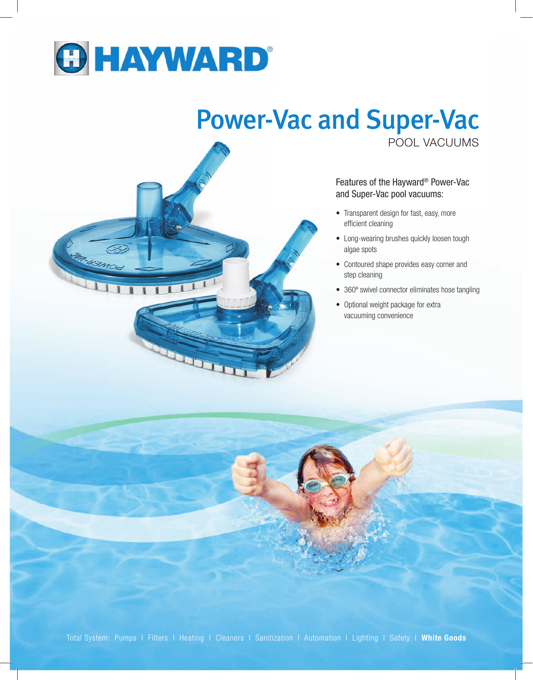

## POOL VACUUMS Power-Vac and Super-Vac



Features of the Hayward® Power-Vac and Super-Vac pool vacuums:

- Transparent design for fast, easy, more efficient cleaning
- Long-wearing brushes quickly loosen tough algae spots
- Contoured shape provides easy corner and step cleaning
- 360º swivel connector eliminates hose tangling
- Optional weight package for extra vacuuming convenience